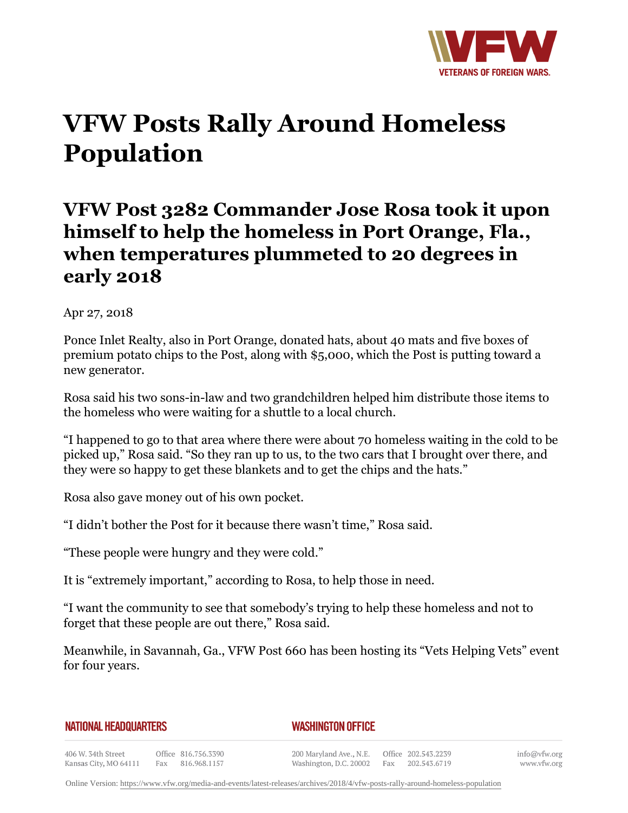

## **VFW Posts Rally Around Homeless Population**

## **VFW Post 3282 Commander Jose Rosa took it upon himself to help the homeless in Port Orange, Fla., when temperatures plummeted to 20 degrees in early 2018**

Apr 27, 2018

Ponce Inlet Realty, also in Port Orange, donated hats, about 40 mats and five boxes of premium potato chips to the Post, along with \$5,000, which the Post is putting toward a new generator.

Rosa said his two sons-in-law and two grandchildren helped him distribute those items to the homeless who were waiting for a shuttle to a local church.

"I happened to go to that area where there were about 70 homeless waiting in the cold to be picked up," Rosa said. "So they ran up to us, to the two cars that I brought over there, and they were so happy to get these blankets and to get the chips and the hats."

Rosa also gave money out of his own pocket.

"I didn't bother the Post for it because there wasn't time," Rosa said.

"These people were hungry and they were cold."

It is "extremely important," according to Rosa, to help those in need.

"I want the community to see that somebody's trying to help these homeless and not to forget that these people are out there," Rosa said.

Meanwhile, in Savannah, Ga., VFW Post 660 has been hosting its "Vets Helping Vets" event for four years.

## **NATIONAL HEADQUARTERS**

## *WASHINGTON OFFICE*

406 W. 34th Street Office 816.756.3390 Kansas City, MO 64111 Fax 816.968.1157

200 Maryland Ave., N.E. Washington, D.C. 20002

Office 202.543.2239 Fax 202.543.6719

info@vfw.org www.vfw.org

Online Version:<https://www.vfw.org/media-and-events/latest-releases/archives/2018/4/vfw-posts-rally-around-homeless-population>